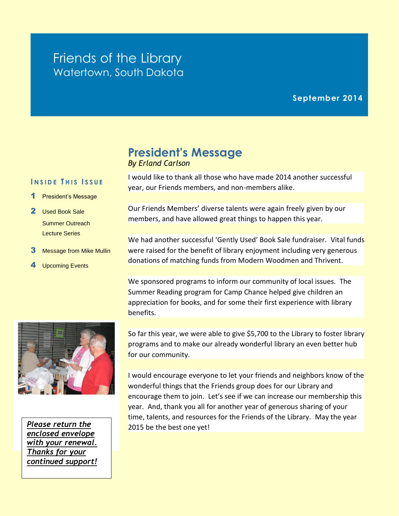## Friends of the Library Watertown, South Dakota

#### **September 2014**

# **President's Message**

*By Erland Carlson*

I would like to thank all those who have made 2014 another successful year, our Friends members, and non-members alike.

Our Friends Members' diverse talents were again freely given by our members, and have allowed great things to happen this year.

We had another successful 'Gently Used' Book Sale fundraiser. Vital funds were raised for the benefit of library enjoyment including very generous donations of matching funds from Modern Woodmen and Thrivent.

We sponsored programs to inform our community of local issues. The Summer Reading program for Camp Chance helped give children an appreciation for books, and for some their first experience with library benefits.

So far this year, we were able to give \$5,700 to the Library to foster library programs and to make our already wonderful library an even better hub for our community.

I would encourage everyone to let your friends and neighbors know of the wonderful things that the Friends group does for our Library and encourage them to join. Let's see if we can increase our membership this year. And, thank you all for another year of generous sharing of your time, talents, and resources for the Friends of the Library. May the year 2015 be the best one yet!



**I N S I D E T H I S I S S U E**

1 President's Message

 Summer Outreach Lecture Series

3 Message from Mike Mullin

2 Used Book Sale

4 Upcoming Events

*Please return the enclosed envelope with your renewal. Thanks for your continued support!*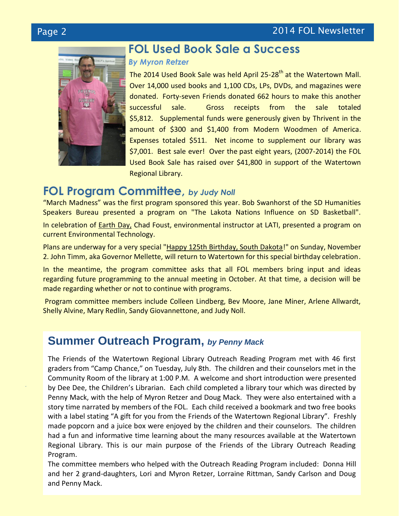*.*



## **FOL Used Book Sale a Success**

#### *By Myron Retzer*

The 2014 Used Book Sale was held April 25-28<sup>th</sup> at the Watertown Mall. Over 14,000 used books and 1,100 CDs, LPs, DVDs, and magazines were donated. Forty-seven Friends donated 662 hours to make this another successful sale. Gross receipts from the sale totaled \$5,812. Supplemental funds were generously given by Thrivent in the amount of \$300 and \$1,400 from Modern Woodmen of America. Expenses totaled \$511. Net income to supplement our library was \$7,001. Best sale ever! Over the past eight years, (2007-2014) the FOL Used Book Sale has raised over \$41,800 in support of the Watertown Regional Library.

### **FOL Program Committee,** *by Judy Noll*

"March Madness" was the first program sponsored this year. Bob Swanhorst of the SD Humanities Speakers Bureau presented a program on "The Lakota Nations Influence on SD Basketball".

In celebration of Earth Day, Chad Foust, environmental instructor at LATI, presented a program on current Environmental Technology.

Plans are underway for a very special "Happy 125th Birthday, South Dakota!" on Sunday, November 2. John Timm, aka Governor Mellette, will return to Watertown for this special birthday celebration.

In the meantime, the program committee asks that all FOL members bring input and ideas regarding future programming to the annual meeting in October. At that time, a decision will be made regarding whether or not to continue with programs.

Program committee members include Colleen Lindberg, Bev Moore, Jane Miner, Arlene Allwardt, Shelly Alvine, Mary Redlin, Sandy Giovannettone, and Judy Noll.

## **Summer Outreach Program,** *by Penny Mack*

The Friends of the Watertown Regional Library Outreach Reading Program met with 46 first graders from "Camp Chance," on Tuesday, July 8th. The children and their counselors met in the Community Room of the library at 1:00 P.M. A welcome and short introduction were presented by Dee Dee, the Children's Librarian. Each child completed a library tour which was directed by Penny Mack, with the help of Myron Retzer and Doug Mack. They were also entertained with a story time narrated by members of the FOL. Each child received a bookmark and two free books with a label stating "A gift for you from the Friends of the Watertown Regional Library". Freshly made popcorn and a juice box were enjoyed by the children and their counselors. The children had a fun and informative time learning about the many resources available at the Watertown Regional Library. This is our main purpose of the Friends of the Library Outreach Reading Program.

The committee members who helped with the Outreach Reading Program included: Donna Hill and her 2 grand-daughters, Lori and Myron Retzer, Lorraine Rittman, Sandy Carlson and Doug and Penny Mack.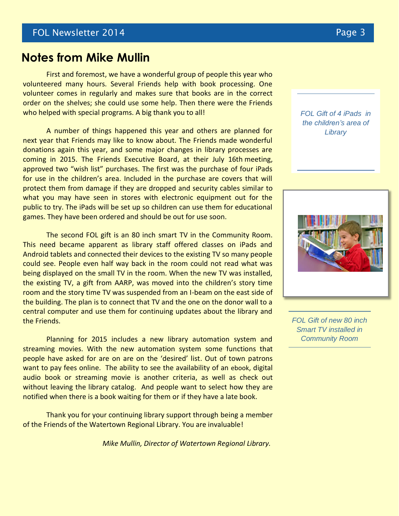#### **Notes from Mike Mullin**

First and foremost, we have a wonderful group of people this year who volunteered many hours. Several Friends help with book processing. One volunteer comes in regularly and makes sure that books are in the correct order on the shelves; she could use some help. Then there were the Friends who helped with special programs. A big thank you to all!

A number of things happened this year and others are planned for next year that Friends may like to know about. The Friends made wonderful donations again this year, and some major changes in library processes are coming in 2015. The Friends Executive Board, at their July 16th meeting, approved two "wish list" purchases. The first was the purchase of four iPads for use in the children's area. Included in the purchase are covers that will protect them from damage if they are dropped and security cables similar to what you may have seen in stores with electronic equipment out for the public to try. The iPads will be set up so children can use them for educational games. They have been ordered and should be out for use soon.

The second FOL gift is an 80 inch smart TV in the Community Room. This need became apparent as library staff offered classes on iPads and Android tablets and connected their devices to the existing TV so many people could see. People even half way back in the room could not read what was being displayed on the small TV in the room. When the new TV was installed, the existing TV, a gift from AARP, was moved into the children's story time room and the story time TV was suspended from an I-beam on the east side of the building. The plan is to connect that TV and the one on the donor wall to a central computer and use them for continuing updates about the library and the Friends.

Planning for 2015 includes a new library automation system and streaming movies. With the new automation system some functions that people have asked for are on are on the 'desired' list. Out of town patrons want to pay fees online. The ability to see the availability of an ebook, digital audio book or streaming movie is another criteria, as well as check out without leaving the library catalog. And people want to select how they are notified when there is a book waiting for them or if they have a late book.

Thank you for your continuing library support through being a member of the Friends of the Watertown Regional Library. You are invaluable!

*Mike Mullin, Director of Watertown Regional Library.*

#### *FOL Gift of 4 iPads in the children's area of Library*



*FOL Gift of new 80 inch Smart TV installed in Community Room*